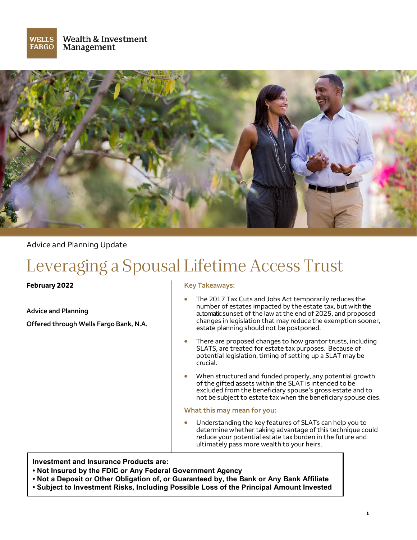



Advice and Planning Update

# Leveraging a Spousal Lifetime Access Trust

**February 2022**

**Advice and Planning Offered through Wells Fargo Bank, N.A.**

#### **Key Takeaways:**

- The 2017 Tax Cuts and Jobs Act temporarily reduces the number of estates impacted by the estate tax, but with the automaticsunset of the law at the end of 2025, and proposed changes in legislation that may reduce the exemption sooner, estate planning should not be postponed.
- There are proposed changes to how grantor trusts, including SLATS, are treated for estate tax purposes. Because of potential legislation, timing of setting up a SLAT may be crucial.
- When structured and funded properly, any potential growth of the gifted assets within the SLAT is intended to be excluded from the beneficiary spouse's gross estate and to not be subject to estate tax when the beneficiary spouse dies.

#### **What this may mean for you:**

• Understanding the key features of SLATs can help you to determine whether taking advantage of this technique could reduce your potential estate tax burden in the future and ultimately pass more wealth to your heirs.

**Investment and Insurance Products are:**

- **• Not Insured by the FDIC or Any Federal Government Agency**
- **• Not a Deposit or Other Obligation of, or Guaranteed by, the Bank or Any Bank Affiliate**
- **• Subject to Investment Risks, Including Possible Loss of the Principal Amount Invested**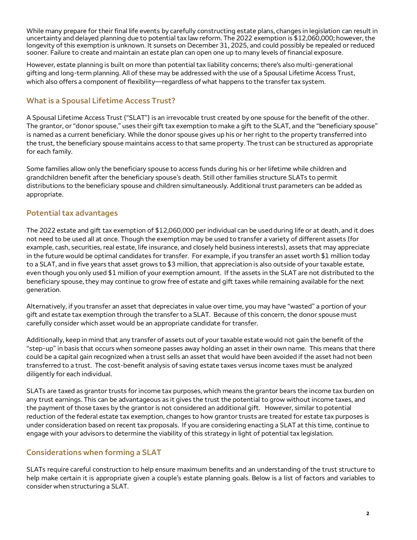While many prepare for their final life events by carefully constructing estate plans, changes in legislation can result in uncertainty and delayed planning due to potential tax law reform. The 2022 exemption is \$12,060,000; however, the longevity of this exemption is unknown. It sunsets on December 31, 2025, and could possibly be repealed or reduced sooner. Failure to create and maintain an estate plan can open one up to many levels of financial exposure.

However, estate planning is built on more than potential tax liability concerns; there's also multi-generational gifting and long-term planning. All of these may be addressed with the use of a Spousal Lifetime Access Trust, which also offers a component of flexibility—regardless of what happens to the transfer tax system.

# **What is a Spousal Lifetime Access Trust?**

A Spousal Lifetime Access Trust ("SLAT") is an irrevocable trust created by one spouse for the benefit of the other. The grantor, or "donor spouse," uses their gift tax exemption to make a gift to the SLAT, and the "beneficiary spouse" is named as a current beneficiary. While the donor spouse gives up his or her right to the property transferred into the trust, the beneficiary spouse maintains access to that same property. The trust can be structured as appropriate for each family.

Some families allow only the beneficiary spouse to access funds during his or her lifetime while children and grandchildren benefit after the beneficiary spouse's death. Still other families structure SLATs to permit distributions to the beneficiary spouse and children simultaneously. Additional trust parameters can be added as appropriate.

## **Potential tax advantages**

The 2022 estate and gift tax exemption of \$12,060,000 per individual can be used during life or at death, and it does not need to be used all at once. Though the exemption may be used to transfer a variety of different assets (for example, cash, securities, real estate, life insurance, and closely held business interests), assets that may appreciate in the future would be optimal candidates for transfer. For example, if you transfer an asset worth \$1 million today to a SLAT, and in five years that asset grows to \$3 million, that appreciation is also outside of your taxable estate, even though you only used \$1 million of your exemption amount. If the assets in the SLAT are not distributed to the beneficiary spouse, they may continue to grow free of estate and gift taxes while remaining available for the next generation.

Alternatively, if you transfer an asset that depreciates in value over time, you may have "wasted" a portion of your gift and estate tax exemption through the transfer to a SLAT. Because of this concern, the donor spouse must carefully consider which asset would be an appropriate candidate for transfer.

Additionally, keep in mind that any transfer of assets out of your taxable estate would not gain the benefit of the "step-up" in basis that occurs when someone passes away holding an asset in their own name. This means that there could be a capital gain recognized when a trust sells an asset that would have been avoided if the asset had not been transferred to a trust. The cost-benefit analysis of saving estate taxes versus income taxes must be analyzed diligently for each individual.

SLATs are taxed as grantor trusts for income tax purposes, which means the grantor bears the income tax burden on any trust earnings. This can be advantageous as it gives the trust the potential to grow without income taxes, and the payment of those taxes by the grantor is not considered an additional gift. However, similar to potential reduction of the federal estate tax exemption, changes to how grantor trusts are treated for estate tax purposes is under consideration based on recent tax proposals. If you are considering enacting a SLAT at this time, continue to engage with your advisors to determine the viability of this strategy in light of potential tax legislation.

## **Considerations when forming a SLAT**

SLATs require careful construction to help ensure maximum benefits and an understanding of the trust structure to help make certain it is appropriate given a couple's estate planning goals. Below is a list of factors and variables to consider when structuring a SLAT.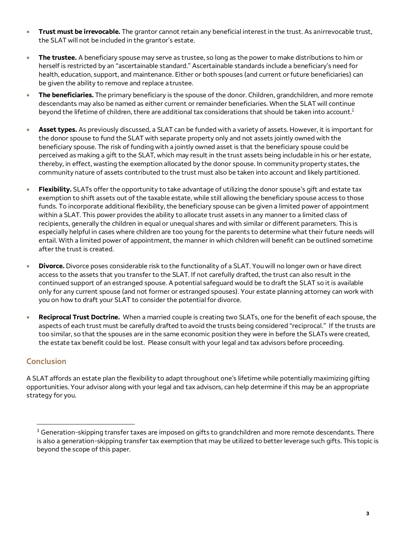- **Trust must be irrevocable.** The grantor cannot retain any beneficial interest in the trust. As anirrevocable trust, the SLAT will not be included in the grantor's estate.
- **The trustee.** A beneficiary spouse may serve as trustee, so long as the power to make distributions to him or herself is restricted by an "ascertainable standard." Ascertainable standards include a beneficiary's need for health, education, support, and maintenance. Either or both spouses (and current or future beneficiaries) can be given the ability to remove and replace atrustee.
- **The beneficiaries.** The primary beneficiary is the spouse of the donor. Children, grandchildren, and more remote descendants may also be named as either current or remainder beneficiaries. When the SLAT will continue beyond the lifetime of children, there are additional tax considerations that should be taken into account.<sup>1</sup>
- **Asset types.** As previously discussed, a SLAT can be funded with a variety of assets. However, it is important for the donor spouse to fund the SLAT with separate property only and not assets jointly owned with the beneficiary spouse. The risk of funding with a jointly owned asset is that the beneficiary spouse could be perceived as making a gift to the SLAT, which may result in the trust assets being includable in his or her estate, thereby, in effect, wasting the exemption allocated by the donor spouse. In community property states, the community nature of assets contributed to the trust must also be taken into account and likely partitioned.
- **Flexibility.** SLATs offer the opportunity to take advantage of utilizing the donor spouse's gift and estate tax exemption to shift assets out of the taxable estate, while still allowing the beneficiary spouse access to those funds. To incorporate additional flexibility, the beneficiary spouse can be given a limited power of appointment within a SLAT. This power provides the ability to allocate trust assets in any manner to a limited class of recipients, generally the children in equal or unequal shares and with similar or different parameters. This is especially helpful in cases where children are too young for the parents to determine what their future needs will entail. With a limited power of appointment, the manner in which children will benefit can be outlined sometime after the trust is created.
- **Divorce.** Divorce poses considerable risk to the functionality of a SLAT. You will no longer own or have direct access to the assets that you transfer to the SLAT. If not carefully drafted, the trust can also result in the continued support of an estranged spouse. A potential safeguard would be to draft the SLAT so it is available only for any current spouse (and not former or estranged spouses). Your estate planning attorney can work with you on how to draft your SLAT to consider the potential for divorce.
- **Reciprocal Trust Doctrine.** When a married couple is creating two SLATs, one for the benefit of each spouse, the aspects of each trust must be carefully drafted to avoid the trusts being considered "reciprocal." If the trusts are too similar, so that the spouses are in the same economic position they were in before the SLATs were created, the estate tax benefit could be lost. Please consult with your legal and tax advisors before proceeding.

## **Conclusion**

A SLAT affords an estate plan the flexibility to adapt throughout one's lifetime while potentially maximizing gifting opportunities. Your advisor along with your legal and tax advisors, can help determine if this may be an appropriate strategy for you.

 $1$  Generation-skipping transfer taxes are imposed on gifts to grandchildren and more remote descendants. There is also a generation-skipping transfer tax exemption that may be utilized to better leverage such gifts. This topic is beyond the scope of this paper.